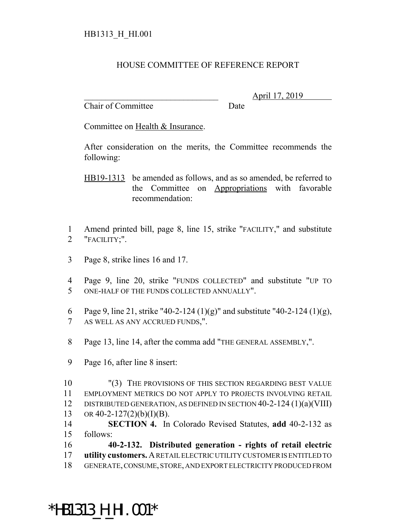## HOUSE COMMITTEE OF REFERENCE REPORT

Chair of Committee Date

\_\_\_\_\_\_\_\_\_\_\_\_\_\_\_\_\_\_\_\_\_\_\_\_\_\_\_\_\_\_\_ April 17, 2019

Committee on Health & Insurance.

After consideration on the merits, the Committee recommends the following:

HB19-1313 be amended as follows, and as so amended, be referred to the Committee on Appropriations with favorable recommendation:

- 1 Amend printed bill, page 8, line 15, strike "FACILITY," and substitute 2 "FACILITY;".
- 3 Page 8, strike lines 16 and 17.
- 4 Page 9, line 20, strike "FUNDS COLLECTED" and substitute "UP TO 5 ONE-HALF OF THE FUNDS COLLECTED ANNUALLY".
- 6 Page 9, line 21, strike "40-2-124  $(1)(g)$ " and substitute "40-2-124  $(1)(g)$ , 7 AS WELL AS ANY ACCRUED FUNDS,".
- 8 Page 13, line 14, after the comma add "THE GENERAL ASSEMBLY,".
- 9 Page 16, after line 8 insert:

\*HB1313\_H\_HI.001\*

 "(3) THE PROVISIONS OF THIS SECTION REGARDING BEST VALUE EMPLOYMENT METRICS DO NOT APPLY TO PROJECTS INVOLVING RETAIL DISTRIBUTED GENERATION, AS DEFINED IN SECTION 40-2-124 (1)(a)(VIII) 13 OR 40-2-127(2)(b)(I)(B).

- 14 **SECTION 4.** In Colorado Revised Statutes, **add** 40-2-132 as 15 follows:
- 16 **40-2-132. Distributed generation rights of retail electric** 17 **utility customers.** A RETAIL ELECTRIC UTILITY CUSTOMER IS ENTITLED TO 18 GENERATE, CONSUME, STORE, AND EXPORT ELECTRICITY PRODUCED FROM